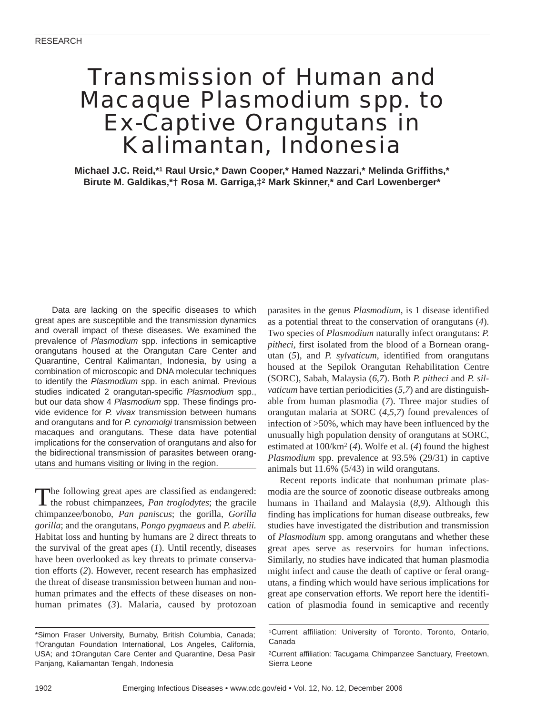# Transmission of Human and Macaque *Plasmodium* spp. to Ex-Captive Orangutans in Kalimantan, Indonesia

**Michael J.C. Reid,\*1 Raul Ursic,\* Dawn Cooper,\* Hamed Nazzari,\* Melinda Griffiths,\* Birute M. Galdikas,\*† Rosa M. Garriga,‡2 Mark Skinner,\* and Carl Lowenberger\***

Data are lacking on the specific diseases to which great apes are susceptible and the transmission dynamics and overall impact of these diseases. We examined the prevalence of *Plasmodium* spp. infections in semicaptive orangutans housed at the Orangutan Care Center and Quarantine, Central Kalimantan, Indonesia, by using a combination of microscopic and DNA molecular techniques to identify the *Plasmodium* spp. in each animal. Previous studies indicated 2 orangutan-specific *Plasmodium* spp., but our data show 4 *Plasmodium* spp. These findings provide evidence for *P. vivax* transmission between humans and orangutans and for *P. cynomolgi* transmission between macaques and orangutans. These data have potential implications for the conservation of orangutans and also for the bidirectional transmission of parasites between orangutans and humans visiting or living in the region.

The following great apes are classified as endangered: the robust chimpanzees, *Pan troglodytes*; the gracile chimpanzee/bonobo, *Pan paniscus*; the gorilla, *Gorilla gorilla*; and the orangutans, *Pongo pygmaeus* and *P. abelii.* Habitat loss and hunting by humans are 2 direct threats to the survival of the great apes (*1*). Until recently, diseases have been overlooked as key threats to primate conservation efforts (*2*). However, recent research has emphasized the threat of disease transmission between human and nonhuman primates and the effects of these diseases on nonhuman primates (*3*). Malaria, caused by protozoan

\*Simon Fraser University, Burnaby, British Columbia, Canada; †Orangutan Foundation International, Los Angeles, California, USA; and ‡Orangutan Care Center and Quarantine, Desa Pasir Panjang, Kaliamantan Tengah, Indonesia

parasites in the genus *Plasmodium*, is 1 disease identified as a potential threat to the conservation of orangutans (*4*). Two species of *Plasmodium* naturally infect orangutans: *P. pitheci,* first isolated from the blood of a Bornean orangutan (*5*), and *P. sylvaticum,* identified from orangutans housed at the Sepilok Orangutan Rehabilitation Centre (SORC), Sabah, Malaysia (*6*,*7*). Both *P. pitheci* and *P. silvaticum* have tertian periodicities (*5*,*7*) and are distinguishable from human plasmodia (*7*). Three major studies of orangutan malaria at SORC (*4*,*5*,*7*) found prevalences of infection of >50%, which may have been influenced by the unusually high population density of orangutans at SORC, estimated at 100/km2 (*4*). Wolfe et al. (*4*) found the highest *Plasmodium* spp. prevalence at 93.5% (29/31) in captive animals but 11.6% (5/43) in wild orangutans.

Recent reports indicate that nonhuman primate plasmodia are the source of zoonotic disease outbreaks among humans in Thailand and Malaysia (*8*,*9*). Although this finding has implications for human disease outbreaks, few studies have investigated the distribution and transmission of *Plasmodium* spp. among orangutans and whether these great apes serve as reservoirs for human infections. Similarly, no studies have indicated that human plasmodia might infect and cause the death of captive or feral orangutans, a finding which would have serious implications for great ape conservation efforts. We report here the identification of plasmodia found in semicaptive and recently

<sup>1</sup>Current affiliation: University of Toronto, Toronto, Ontario, Canada

<sup>2</sup>Current affiliation: Tacugama Chimpanzee Sanctuary, Freetown, Sierra Leone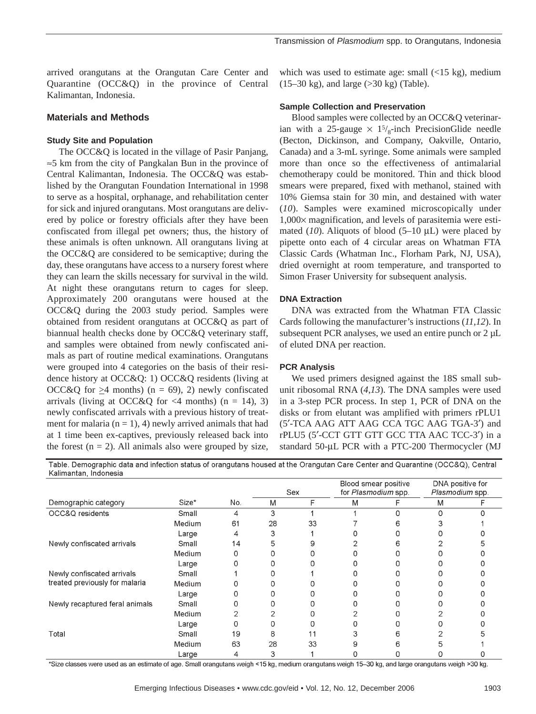arrived orangutans at the Orangutan Care Center and Quarantine (OCC&Q) in the province of Central Kalimantan, Indonesia.

## **Materials and Methods**

#### **Study Site and Population**

The OCC&Q is located in the village of Pasir Panjang, ≈5 km from the city of Pangkalan Bun in the province of Central Kalimantan, Indonesia. The OCC&Q was established by the Orangutan Foundation International in 1998 to serve as a hospital, orphanage, and rehabilitation center for sick and injured orangutans. Most orangutans are delivered by police or forestry officials after they have been confiscated from illegal pet owners; thus, the history of these animals is often unknown. All orangutans living at the OCC&Q are considered to be semicaptive; during the day, these orangutans have access to a nursery forest where they can learn the skills necessary for survival in the wild. At night these orangutans return to cages for sleep. Approximately 200 orangutans were housed at the OCC&Q during the 2003 study period. Samples were obtained from resident orangutans at OCC&Q as part of biannual health checks done by OCC&Q veterinary staff, and samples were obtained from newly confiscated animals as part of routine medical examinations. Orangutans were grouped into 4 categories on the basis of their residence history at OCC&Q: 1) OCC&Q residents (living at OCC&Q for  $\geq$ 4 months) (n = 69), 2) newly confiscated arrivals (living at OCC&Q for  $\langle 4 \text{ months} \rangle$  (n = 14), 3) newly confiscated arrivals with a previous history of treatment for malaria  $(n = 1)$ , 4) newly arrived animals that had at 1 time been ex-captives, previously released back into the forest  $(n = 2)$ . All animals also were grouped by size,

which was used to estimate age: small  $($ <15 kg $)$ , medium (15–30 kg), and large (>30 kg) (Table).

#### **Sample Collection and Preservation**

Blood samples were collected by an OCC&Q veterinarian with a 25-gauge  $\times$  1<sup>5</sup>/<sub>8</sub>-inch PrecisionGlide needle (Becton, Dickinson, and Company, Oakville, Ontario, Canada) and a 3-mL syringe. Some animals were sampled more than once so the effectiveness of antimalarial chemotherapy could be monitored. Thin and thick blood smears were prepared, fixed with methanol, stained with 10% Giemsa stain for 30 min, and destained with water (*10*). Samples were examined microscopically under 1,000× magnification, and levels of parasitemia were estimated (10). Aliquots of blood (5–10 µL) were placed by pipette onto each of 4 circular areas on Whatman FTA Classic Cards (Whatman Inc., Florham Park, NJ, USA), dried overnight at room temperature, and transported to Simon Fraser University for subsequent analysis.

## **DNA Extraction**

DNA was extracted from the Whatman FTA Classic Cards following the manufacturer's instructions (*11*,*12*). In subsequent PCR analyses, we used an entire punch or 2  $\mu$ L of eluted DNA per reaction.

## **PCR Analysis**

We used primers designed against the 18S small subunit ribosomal RNA (*4*,*13*). The DNA samples were used in a 3-step PCR process. In step 1, PCR of DNA on the disks or from elutant was amplified with primers rPLU1 (5′-TCA AAG ATT AAG CCA TGC AAG TGA-3′) and rPLU5 (5′-CCT GTT GTT GCC TTA AAC TCC-3′) in a standard 50-µL PCR with a PTC-200 Thermocycler (MJ

Table. Demographic data and infection status of orangutans housed at the Orangutan Care Center and Quarantine (OCC&Q), Central Kalimantan, Indonesia

| Demographic category                                         | Size*  | No. | Sex |    | Blood smear positive<br>for Plasmodium spp. |   | DNA positive for<br>Plasmodium spp. |  |
|--------------------------------------------------------------|--------|-----|-----|----|---------------------------------------------|---|-------------------------------------|--|
|                                                              |        |     | M   | F  | M                                           |   | M                                   |  |
| OCC&Q residents                                              | Small  | 4   | 3   |    |                                             | n |                                     |  |
|                                                              | Medium | 61  | 28  | 33 |                                             | n |                                     |  |
|                                                              | Large  |     |     |    |                                             |   |                                     |  |
| Newly confiscated arrivals                                   | Small  | 14  | 5   |    |                                             |   |                                     |  |
|                                                              | Medium |     |     |    |                                             |   |                                     |  |
|                                                              | Large  |     |     |    |                                             |   |                                     |  |
| Newly confiscated arrivals<br>treated previously for malaria | Small  |     |     |    |                                             |   |                                     |  |
|                                                              | Medium |     |     |    |                                             |   |                                     |  |
|                                                              | Large  |     |     |    |                                             |   |                                     |  |
| Newly recaptured feral animals                               | Small  |     |     |    |                                             |   |                                     |  |
|                                                              | Medium |     |     |    |                                             |   |                                     |  |
|                                                              | Large  |     |     |    |                                             |   |                                     |  |
| Total                                                        | Small  | 19  | 8   |    |                                             |   |                                     |  |
|                                                              | Medium | 63  | 28  | 33 |                                             |   |                                     |  |
|                                                              | Large  | 4   | 3   |    |                                             |   |                                     |  |

\*Size classes were used as an estimate of age. Small orangutans weigh <15 kg, medium orangutans weigh 15–30 kg, and large orangutans weigh >30 kg.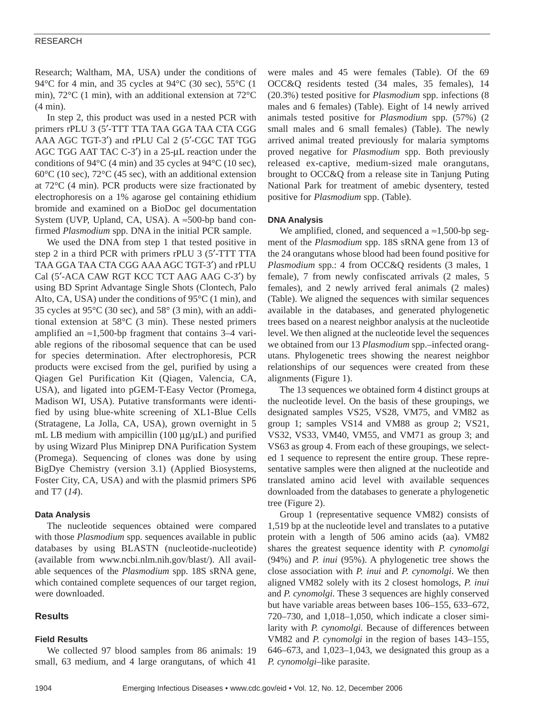## RESEARCH

Research; Waltham, MA, USA) under the conditions of 94°C for 4 min, and 35 cycles at 94°C (30 sec), 55°C (1 min), 72°C (1 min), with an additional extension at 72°C (4 min).

In step 2, this product was used in a nested PCR with primers rPLU 3 (5′-TTT TTA TAA GGA TAA CTA CGG AAA AGC TGT-3′) and rPLU Cal 2 (5′-CGC TAT TGG AGC TGG AAT TAC C-3′) in a 25-µL reaction under the conditions of 94°C (4 min) and 35 cycles at 94°C (10 sec), 60°C (10 sec), 72°C (45 sec), with an additional extension at 72°C (4 min). PCR products were size fractionated by electrophoresis on a 1% agarose gel containing ethidium bromide and examined on a BioDoc gel documentation System (UVP, Upland, CA, USA). A  $\approx$ 500-bp band confirmed *Plasmodium* spp. DNA in the initial PCR sample.

We used the DNA from step 1 that tested positive in step 2 in a third PCR with primers rPLU 3 (5′-TTT TTA TAA GGA TAA CTA CGG AAA AGC TGT-3′) and rPLU Cal (5′-ACA CAW RGT KCC TCT AAG AAG C-3′) by using BD Sprint Advantage Single Shots (Clontech, Palo Alto, CA, USA) under the conditions of  $95^{\circ}C(1 \text{ min})$ , and 35 cycles at  $95^{\circ}$ C (30 sec), and  $58^{\circ}$  (3 min), with an additional extension at 58°C (3 min). These nested primers amplified an ≈1,500-bp fragment that contains 3–4 variable regions of the ribosomal sequence that can be used for species determination. After electrophoresis, PCR products were excised from the gel, purified by using a Qiagen Gel Purification Kit (Qiagen, Valencia, CA, USA), and ligated into pGEM-T-Easy Vector (Promega, Madison WI, USA). Putative transformants were identified by using blue-white screening of XL1-Blue Cells (Stratagene, La Jolla, CA, USA), grown overnight in 5 mL LB medium with ampicillin  $(100 \mu g/\mu L)$  and purified by using Wizard Plus Miniprep DNA Purification System (Promega). Sequencing of clones was done by using BigDye Chemistry (version 3.1) (Applied Biosystems, Foster City, CA, USA) and with the plasmid primers SP6 and T7 (*14*).

## **Data Analysis**

The nucleotide sequences obtained were compared with those *Plasmodium* spp. sequences available in public databases by using BLASTN (nucleotide-nucleotide) (available from www.ncbi.nlm.nih.gov/blast/). All available sequences of the *Plasmodium* spp. 18S sRNA gene, which contained complete sequences of our target region, were downloaded.

## **Results**

## **Field Results**

We collected 97 blood samples from 86 animals: 19 small, 63 medium, and 4 large orangutans, of which 41

were males and 45 were females (Table). Of the 69 OCC&Q residents tested (34 males, 35 females), 14 (20.3%) tested positive for *Plasmodium* spp. infections (8 males and 6 females) (Table). Eight of 14 newly arrived animals tested positive for *Plasmodium* spp. (57%) (2 small males and 6 small females) (Table). The newly arrived animal treated previously for malaria symptoms proved negative for *Plasmodium* spp. Both previously released ex-captive, medium-sized male orangutans, brought to OCC&Q from a release site in Tanjung Puting National Park for treatment of amebic dysentery, tested positive for *Plasmodium* spp. (Table).

## **DNA Analysis**

We amplified, cloned, and sequenced a  $\approx$ 1,500-bp segment of the *Plasmodium* spp. 18S sRNA gene from 13 of the 24 orangutans whose blood had been found positive for *Plasmodium* spp.: 4 from OCC&Q residents (3 males, 1 female), 7 from newly confiscated arrivals (2 males, 5 females), and 2 newly arrived feral animals (2 males) (Table). We aligned the sequences with similar sequences available in the databases, and generated phylogenetic trees based on a nearest neighbor analysis at the nucleotide level. We then aligned at the nucleotide level the sequences we obtained from our 13 *Plasmodium* spp.–infected orangutans. Phylogenetic trees showing the nearest neighbor relationships of our sequences were created from these alignments (Figure 1).

The 13 sequences we obtained form 4 distinct groups at the nucleotide level. On the basis of these groupings, we designated samples VS25, VS28, VM75, and VM82 as group 1; samples VS14 and VM88 as group 2; VS21, VS32, VS33, VM40, VM55, and VM71 as group 3; and VS63 as group 4. From each of these groupings, we selected 1 sequence to represent the entire group. These representative samples were then aligned at the nucleotide and translated amino acid level with available sequences downloaded from the databases to generate a phylogenetic tree (Figure 2).

Group 1 (representative sequence VM82) consists of 1,519 bp at the nucleotide level and translates to a putative protein with a length of 506 amino acids (aa). VM82 shares the greatest sequence identity with *P. cynomolgi* (94%) and *P. inui* (95%). A phylogenetic tree shows the close association with *P. inui* and *P. cynomolgi*. We then aligned VM82 solely with its 2 closest homologs, *P. inui* and *P. cynomolgi.* These 3 sequences are highly conserved but have variable areas between bases 106–155, 633–672, 720–730, and 1,018–1,050, which indicate a closer similarity with *P. cynomolgi.* Because of differences between VM82 and *P. cynomolgi* in the region of bases 143–155, 646–673, and 1,023–1,043, we designated this group as a *P. cynomolgi*–like parasite.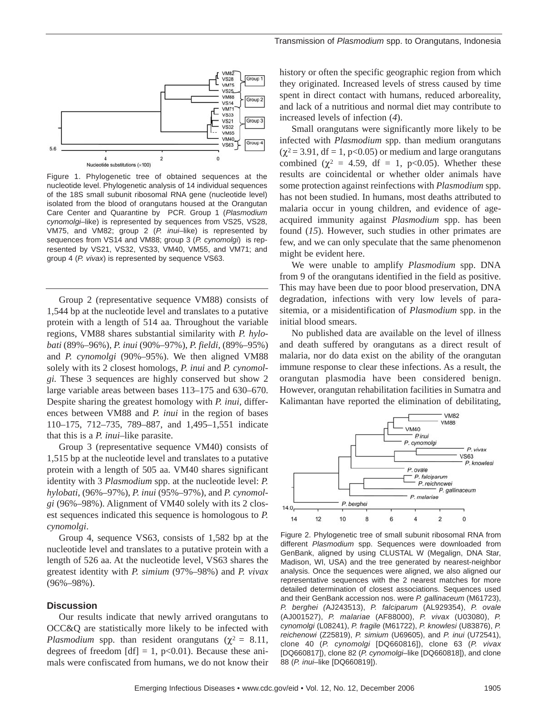

Figure 1. Phylogenetic tree of obtained sequences at the nucleotide level. Phylogenetic analysis of 14 individual sequences of the 18S small subunit ribosomal RNA gene (nucleotide level) isolated from the blood of orangutans housed at the Orangutan Care Center and Quarantine by PCR. Group 1 (*Plasmodium cynomolgi*–like) is represented by sequences from VS25, VS28, VM75, and VM82; group 2 (*P. inui*–like) is represented by sequences from VS14 and VM88; group 3 (*P. cynomolgi*) is represented by VS21, VS32, VS33, VM40, VM55, and VM71; and group 4 (*P. vivax*) is represented by sequence VS63.

Group 2 (representative sequence VM88) consists of 1,544 bp at the nucleotide level and translates to a putative protein with a length of 514 aa. Throughout the variable regions, VM88 shares substantial similarity with *P. hylobati* (89%–96%), *P. inui* (90%–97%), *P. fieldi,* (89%–95%) and *P. cynomolgi* (90%–95%). We then aligned VM88 solely with its 2 closest homologs, *P. inui* and *P. cynomolgi.* These 3 sequences are highly conserved but show 2 large variable areas between bases 113–175 and 630–670. Despite sharing the greatest homology with *P. inui,* differences between VM88 and *P. inui* in the region of bases 110–175, 712–735, 789–887, and 1,495–1,551 indicate that this is a *P. inui*–like parasite.

Group 3 (representative sequence VM40) consists of 1,515 bp at the nucleotide level and translates to a putative protein with a length of 505 aa. VM40 shares significant identity with 3 *Plasmodium* spp. at the nucleotide level: *P. hylobati*, (96%–97%), *P. inui* (95%–97%), and *P. cynomolgi* (96%–98%). Alignment of VM40 solely with its 2 closest sequences indicated this sequence is homologous to *P. cynomolgi*.

Group 4, sequence VS63, consists of 1,582 bp at the nucleotide level and translates to a putative protein with a length of 526 aa. At the nucleotide level, VS63 shares the greatest identity with *P. simium* (97%–98%) and *P. vivax* (96%–98%).

## **Discussion**

Our results indicate that newly arrived orangutans to OCC&Q are statistically more likely to be infected with *Plasmodium* spp. than resident orangutans ( $\chi^2 = 8.11$ , degrees of freedom  $[df] = 1$ , p<0.01). Because these animals were confiscated from humans, we do not know their

history or often the specific geographic region from which they originated. Increased levels of stress caused by time spent in direct contact with humans, reduced arboreality, and lack of a nutritious and normal diet may contribute to increased levels of infection (*4*).

Small orangutans were significantly more likely to be infected with *Plasmodium* spp. than medium orangutans  $(\chi^2 = 3.91, df = 1, p<0.05)$  or medium and large orangutans combined ( $\chi^2 = 4.59$ , df = 1, p<0.05). Whether these results are coincidental or whether older animals have some protection against reinfections with *Plasmodium* spp. has not been studied. In humans, most deaths attributed to malaria occur in young children, and evidence of ageacquired immunity against *Plasmodium* spp. has been found (*15*). However, such studies in other primates are few, and we can only speculate that the same phenomenon might be evident here.

We were unable to amplify *Plasmodium* spp. DNA from 9 of the orangutans identified in the field as positive. This may have been due to poor blood preservation, DNA degradation, infections with very low levels of parasitemia, or a misidentification of *Plasmodium* spp. in the initial blood smears.

No published data are available on the level of illness and death suffered by orangutans as a direct result of malaria, nor do data exist on the ability of the orangutan immune response to clear these infections. As a result, the orangutan plasmodia have been considered benign. However, orangutan rehabilitation facilities in Sumatra and Kalimantan have reported the elimination of debilitating,



Figure 2. Phylogenetic tree of small subunit ribosomal RNA from different *Plasmodium* spp. Sequences were downloaded from GenBank, aligned by using CLUSTAL W (Megalign, DNA Star, Madison, WI, USA) and the tree generated by nearest-neighbor analysis. Once the sequences were aligned, we also aligned our representative sequences with the 2 nearest matches for more detailed determination of closest associations. Sequences used and their GenBank accession nos. were *P. gallinaceum* (M61723), *P. berghei (*AJ243513), *P. falciparum* (AL929354), *P. ovale* (AJ001527), *P. malariae* (AF88000), *P. vivax* (U03080), *P. cynomolgi* (L08241), *P. fragile* (M61722), *P. knowlesi* (U83876), *P. reichenowi* (Z25819), *P. simium* (U69605), and *P. inui* (U72541), clone 40 (*P. cynomolgi* [DQ660816]), clone 63 (*P. vivax* [DQ660817]), clone 82 (*P. cynomolgi*–like [DQ660818]), and clone 88 (*P. inui*–like [DQ660819]).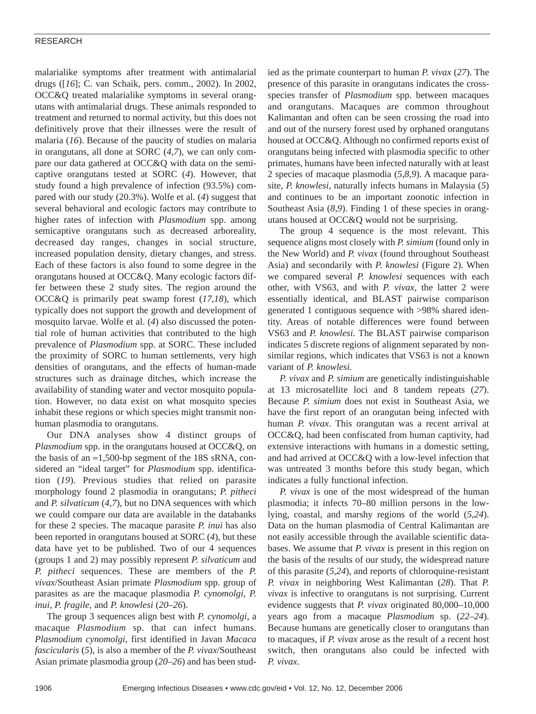## RESEARCH

malarialike symptoms after treatment with antimalarial drugs ([*16*]; C. van Schaik, pers. comm., 2002). In 2002, OCC&Q treated malarialike symptoms in several orangutans with antimalarial drugs. These animals responded to treatment and returned to normal activity, but this does not definitively prove that their illnesses were the result of malaria (*16*). Because of the paucity of studies on malaria in orangutans, all done at SORC (*4*,*7*), we can only compare our data gathered at OCC&Q with data on the semicaptive orangutans tested at SORC (*4*). However, that study found a high prevalence of infection (93.5%) compared with our study (20.3%). Wolfe et al. (*4*) suggest that several behavioral and ecologic factors may contribute to higher rates of infection with *Plasmodium* spp. among semicaptive orangutans such as decreased arboreality, decreased day ranges, changes in social structure, increased population density, dietary changes, and stress. Each of these factors is also found to some degree in the orangutans housed at OCC&Q. Many ecologic factors differ between these 2 study sites. The region around the OCC&Q is primarily peat swamp forest (*17*,*18*), which typically does not support the growth and development of mosquito larvae. Wolfe et al. (*4*) also discussed the potential role of human activities that contributed to the high prevalence of *Plasmodium* spp. at SORC. These included the proximity of SORC to human settlements, very high densities of orangutans, and the effects of human-made structures such as drainage ditches, which increase the availability of standing water and vector mosquito population. However, no data exist on what mosquito species inhabit these regions or which species might transmit nonhuman plasmodia to orangutans.

Our DNA analyses show 4 distinct groups of *Plasmodium* spp. in the orangutans housed at OCC&Q, on the basis of an  $\approx$ 1,500-bp segment of the 18S sRNA, considered an "ideal target" for *Plasmodium* spp. identification (*19*). Previous studies that relied on parasite morphology found 2 plasmodia in orangutans; *P. pitheci* and *P. silvaticum* (*4*,*7*), but no DNA sequences with which we could compare our data are available in the databanks for these 2 species. The macaque parasite *P. inui* has also been reported in orangutans housed at SORC (*4*), but these data have yet to be published. Two of our 4 sequences (groups 1 and 2) may possibly represent *P. silvaticum* and *P. pitheci* sequences. These are members of the *P. vivax*/Southeast Asian primate *Plasmodium* spp. group of parasites as are the macaque plasmodia *P. cynomolgi*, *P. inui, P. fragile,* and *P. knowlesi* (*20*–*26*).

The group 3 sequences align best with *P. cynomolgi,* a macaque *Plasmodium* sp. that can infect humans. *Plasmodium cynomolgi*, first identified in Javan *Macaca fascicularis* (*5*), is also a member of the *P. vivax*/Southeast Asian primate plasmodia group (*20*–*26*) and has been studied as the primate counterpart to human *P. vivax* (*27*). The presence of this parasite in orangutans indicates the crossspecies transfer of *Plasmodium* spp. between macaques and orangutans. Macaques are common throughout Kalimantan and often can be seen crossing the road into and out of the nursery forest used by orphaned orangutans housed at OCC&Q. Although no confirmed reports exist of orangutans being infected with plasmodia specific to other primates, humans have been infected naturally with at least 2 species of macaque plasmodia (*5*,*8*,*9*). A macaque parasite, *P. knowlesi,* naturally infects humans in Malaysia (*5*) and continues to be an important zoonotic infection in Southeast Asia (8,9). Finding 1 of these species in orangutans housed at OCC&Q would not be surprising.

The group 4 sequence is the most relevant. This sequence aligns most closely with *P. simium* (found only in the New World) and *P. vivax* (found throughout Southeast Asia) and secondarily with *P. knowlesi* (Figure 2). When we compared several *P. knowlesi* sequences with each other, with VS63, and with *P. vivax,* the latter 2 were essentially identical, and BLAST pairwise comparison generated 1 contiguous sequence with >98% shared identity. Areas of notable differences were found between VS63 and *P. knowlesi.* The BLAST pairwise comparison indicates 5 discrete regions of alignment separated by nonsimilar regions, which indicates that VS63 is not a known variant of *P. knowlesi.*

*P. vivax* and *P. simium* are genetically indistinguishable at 13 microsatellite loci and 8 tandem repeats (*27*). Because *P. simium* does not exist in Southeast Asia, we have the first report of an orangutan being infected with human *P. vivax*. This orangutan was a recent arrival at OCC&Q, had been confiscated from human captivity, had extensive interactions with humans in a domestic setting, and had arrived at OCC&Q with a low-level infection that was untreated 3 months before this study began, which indicates a fully functional infection.

*P. vivax* is one of the most widespread of the human plasmodia; it infects 70–80 million persons in the lowlying, coastal, and marshy regions of the world (*5*,*24*). Data on the human plasmodia of Central Kalimantan are not easily accessible through the available scientific databases. We assume that *P. vivax* is present in this region on the basis of the results of our study, the widespread nature of this parasite (*5*,*24*), and reports of chloroquine-resistant *P. vivax* in neighboring West Kalimantan (*28*). That *P. vivax* is infective to orangutans is not surprising. Current evidence suggests that *P. vivax* originated 80,000–10,000 years ago from a macaque *Plasmodium* sp. (*22*–*24*). Because humans are genetically closer to orangutans than to macaques, if *P. vivax* arose as the result of a recent host switch, then orangutans also could be infected with *P. vivax*.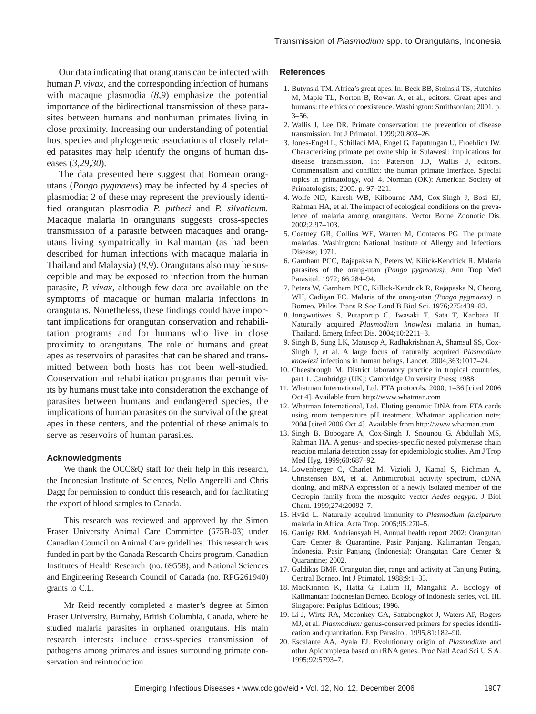Our data indicating that orangutans can be infected with human *P. vivax*, and the corresponding infection of humans with macaque plasmodia (*8*,*9*) emphasize the potential importance of the bidirectional transmission of these parasites between humans and nonhuman primates living in close proximity. Increasing our understanding of potential host species and phylogenetic associations of closely related parasites may help identify the origins of human diseases (*3*,*29*,*30*).

The data presented here suggest that Bornean orangutans (*Pongo pygmaeus*) may be infected by 4 species of plasmodia; 2 of these may represent the previously identified orangutan plasmodia *P. pitheci* and *P. silvaticum.* Macaque malaria in orangutans suggests cross-species transmission of a parasite between macaques and orangutans living sympatrically in Kalimantan (as had been described for human infections with macaque malaria in Thailand and Malaysia) (*8*,*9*). Orangutans also may be susceptible and may be exposed to infection from the human parasite, *P. vivax*, although few data are available on the symptoms of macaque or human malaria infections in orangutans. Nonetheless, these findings could have important implications for orangutan conservation and rehabilitation programs and for humans who live in close proximity to orangutans. The role of humans and great apes as reservoirs of parasites that can be shared and transmitted between both hosts has not been well-studied. Conservation and rehabilitation programs that permit visits by humans must take into consideration the exchange of parasites between humans and endangered species, the implications of human parasites on the survival of the great apes in these centers, and the potential of these animals to serve as reservoirs of human parasites.

#### **Acknowledgments**

We thank the OCC&Q staff for their help in this research, the Indonesian Institute of Sciences, Nello Angerelli and Chris Dagg for permission to conduct this research, and for facilitating the export of blood samples to Canada.

This research was reviewed and approved by the Simon Fraser University Animal Care Committee (675B-03) under Canadian Council on Animal Care guidelines. This research was funded in part by the Canada Research Chairs program, Canadian Institutes of Health Research (no. 69558), and National Sciences and Engineering Research Council of Canada (no. RPG261940) grants to C.L.

Mr Reid recently completed a master's degree at Simon Fraser University, Burnaby, British Columbia, Canada, where he studied malaria parasites in orphaned orangutans. His main research interests include cross-species transmission of pathogens among primates and issues surrounding primate conservation and reintroduction.

## **References**

- 1. Butynski TM. Africa's great apes. In: Beck BB, Stoinski TS, Hutchins M, Maple TL, Norton B, Rowan A, et al., editors. Great apes and humans: the ethics of coexistence. Washington: Smithsonian; 2001. p.  $3 - 56$ .
- 2. Wallis J, Lee DR. Primate conservation: the prevention of disease transmission. Int J Primatol. 1999;20:803–26.
- 3. Jones-Engel L, Schillaci MA, Engel G, Paputungan U, Froehlich JW. Characterizing primate pet ownership in Sulawesi: implications for disease transmission. In: Paterson JD, Wallis J, editors. Commensalism and conflict: the human primate interface. Special topics in primatology, vol. 4. Norman (OK): American Society of Primatologists; 2005. p. 97–221.
- 4. Wolfe ND, Karesh WB, Kilbourne AM, Cox-Singh J, Bosi EJ, Rahman HA, et al. The impact of ecological conditions on the prevalence of malaria among orangutans. Vector Borne Zoonotic Dis. 2002;2:97–103.
- 5. Coatney GR, Collins WE, Warren M, Contacos PG. The primate malarias. Washington: National Institute of Allergy and Infectious Disease; 1971.
- 6. Garnham PCC, Rajapaksa N, Peters W, Kilick-Kendrick R. Malaria parasites of the orang-utan *(Pongo pygmaeus).* Ann Trop Med Parasitol. 1972; 66:284–94.
- 7. Peters W, Garnham PCC, Killick-Kendrick R, Rajapaska N, Cheong WH, Cadigan FC. Malaria of the orang-utan *(Pongo pygmaeus)* in Borneo. Philos Trans R Soc Lond B Biol Sci. 1976;275:439–82.
- 8. Jongwutiwes S, Putaportip C, Iwasaki T, Sata T, Kanbara H. Naturally acquired *Plasmodium knowlesi* malaria in human, Thailand. Emerg Infect Dis. 2004;10:2211–3.
- 9. Singh B, Sung LK, Matusop A, Radhakrishnan A, Shamsul SS, Cox-Singh J, et al. A large focus of naturally acquired *Plasmodium knowlesi* infections in human beings. Lancet. 2004;363:1017–24.
- 10. Cheesbrough M. District laboratory practice in tropical countries, part 1. Cambridge (UK): Cambridge University Press; 1988.
- 11. Whatman International, Ltd. FTA protocols. 2000; 1–36 [cited 2006 Oct 4]. Available from http://www.whatman.com
- 12. Whatman International, Ltd. Eluting genomic DNA from FTA cards using room temperature pH treatment. Whatman application note; 2004 [cited 2006 Oct 4]. Available from http://www.whatman.com
- 13. Singh B, Bobogare A, Cox-Singh J, Snounou G, Abdullah MS, Rahman HA. A genus- and species-specific nested polymerase chain reaction malaria detection assay for epidemiologic studies. Am J Trop Med Hyg. 1999;60:687–92.
- 14. Lowenberger C, Charlet M, Vizioli J, Kamal S, Richman A, Christensen BM, et al. Antimicrobial activity spectrum, cDNA cloning, and mRNA expression of a newly isolated member of the Cecropin family from the mosquito vector *Aedes aegypti.* J Biol Chem. 1999;274:20092–7.
- 15. Hviid L. Naturally acquired immunity to *Plasmodium falciparum* malaria in Africa. Acta Trop. 2005;95:270–5.
- 16. Garriga RM. Andriansyah H. Annual health report 2002: Orangutan Care Center & Quarantine, Pasir Panjang, Kalimantan Tengah, Indonesia. Pasir Panjang (Indonesia): Orangutan Care Center & Quarantine; 2002.
- 17. Galdikas BMF. Orangutan diet, range and activity at Tanjung Puting, Central Borneo. Int J Primatol. 1988;9:1–35.
- 18. MacKinnon K, Hatta G, Halim H, Mangalik A. Ecology of Kalimantan: Indonesian Borneo. Ecology of Indonesia series, vol. III. Singapore: Periplus Editions; 1996.
- 19. Li J, Wirtz RA, Mcconkey GA, Sattabongkot J, Waters AP, Rogers MJ, et al. *Plasmodium:* genus-conserved primers for species identification and quantitation. Exp Parasitol. 1995;81:182–90.
- 20. Escalante AA, Ayala FJ. Evolutionary origin of *Plasmodium* and other Apicomplexa based on rRNA genes. Proc Natl Acad Sci U S A. 1995;92:5793–7.